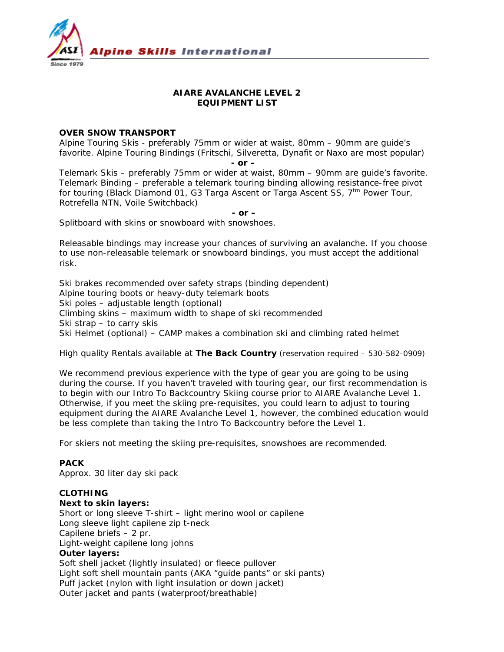

# **AIARE AVALANCHE LEVEL 2 EQUIPMENT LIST**

## **OVER SNOW TRANSPORT**

Alpine Touring Skis - preferably 75mm or wider at waist, 80mm – 90mm are guide's favorite. Alpine Touring Bindings (Fritschi, Silveretta, Dynafit or Naxo are most popular)

 *- or –* 

Telemark Skis – preferably 75mm or wider at waist, 80mm – 90mm are guide's favorite. Telemark Binding – preferable a telemark touring binding allowing resistance-free pivot for touring (Black Diamond 01, G3 Targa Ascent or Targa Ascent SS,  $7<sup>tm</sup>$  Power Tour, Rotrefella NTN, Voile Switchback)

*- or –* 

Splitboard with skins or snowboard with snowshoes.

*Releasable bindings may increase your chances of surviving an avalanche. If you choose to use non-releasable telemark or snowboard bindings, you must accept the additional risk.* 

Ski brakes recommended over safety straps (binding dependent) Alpine touring boots or heavy-duty telemark boots Ski poles – adjustable length (optional) Climbing skins – maximum width to shape of ski recommended Ski strap – to carry skis Ski Helmet (optional) – CAMP makes a combination ski and climbing rated helmet

#### *High quality Rentals available at The Back Country (reservation required – 530-582-0909)*

We recommend previous experience with the type of gear you are going to be using during the course. If you haven't traveled with touring gear, our first recommendation is to begin with our Intro To Backcountry Skiing course prior to AIARE Avalanche Level 1. Otherwise, if you meet the skiing pre-requisites, you could learn to adjust to touring equipment during the AIARE Avalanche Level 1, however, the combined education would be less complete than taking the Intro To Backcountry before the Level 1.

For skiers not meeting the skiing pre-requisites, snowshoes are recommended.

## **PACK**

Approx. 30 liter day ski pack

## **CLOTHING**

#### **Next to skin layers:**

Short or long sleeve T-shirt – light merino wool or capilene Long sleeve light capilene zip t-neck Capilene briefs – 2 pr. Light-weight capilene long johns **Outer layers:**  Soft shell jacket (lightly insulated) or fleece pullover Light soft shell mountain pants (AKA "guide pants" or ski pants) Puff jacket (nylon with light insulation or down jacket) Outer jacket and pants (waterproof/breathable)